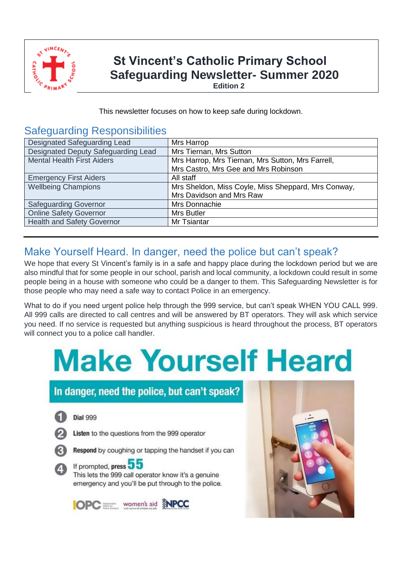

# **St Vincent's Catholic Primary School Safeguarding Newsletter- Summer 2020**

**Edition 2**

This newsletter focuses on how to keep safe during lockdown.

#### Safeguarding Responsibilities

| Designated Safeguarding Lead        | Mrs Harrop                                          |
|-------------------------------------|-----------------------------------------------------|
| Designated Deputy Safeguarding Lead | Mrs Tiernan, Mrs Sutton                             |
| <b>Mental Health First Aiders</b>   | Mrs Harrop, Mrs Tiernan, Mrs Sutton, Mrs Farrell,   |
|                                     | Mrs Castro, Mrs Gee and Mrs Robinson                |
| <b>Emergency First Aiders</b>       | All staff                                           |
| <b>Wellbeing Champions</b>          | Mrs Sheldon, Miss Coyle, Miss Sheppard, Mrs Conway, |
|                                     | Mrs Davidson and Mrs Raw                            |
| <b>Safeguarding Governor</b>        | Mrs Donnachie                                       |
| <b>Online Safety Governor</b>       | <b>Mrs Butler</b>                                   |
| <b>Health and Safety Governor</b>   | Mr Tsiantar                                         |
|                                     |                                                     |

# Make Yourself Heard. In danger, need the police but can't speak?

We hope that every St Vincent's family is in a safe and happy place during the lockdown period but we are also mindful that for some people in our school, parish and local community, a lockdown could result in some people being in a house with someone who could be a danger to them. This Safeguarding Newsletter is for those people who may need a safe way to contact Police in an emergency.

What to do if you need urgent police help through the 999 service, but can't speak WHEN YOU CALL 999. All 999 calls are directed to call centres and will be answered by BT operators. They will ask which service you need. If no service is requested but anything suspicious is heard throughout the process, BT operators will connect you to a police call handler.

# **Make Yourself Heard**

#### In danger, need the police, but can't speak?



**Dial 999** 



Listen to the questions from the 999 operator



Respond by coughing or tapping the handset if you can



If prompted, press 55 This lets the 999 call operator know it's a genuine emergency and you'll be put through to the police.



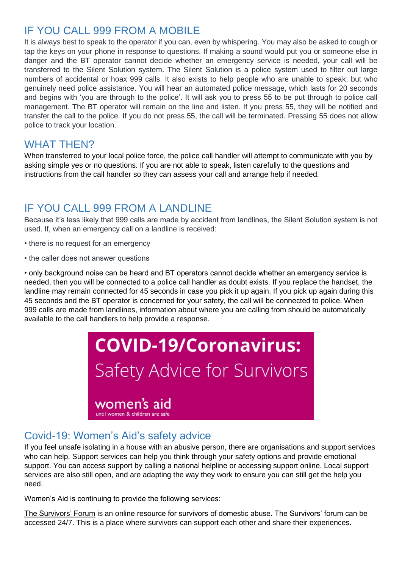#### IF YOU CALL 999 FROM A MOBILE

It is always best to speak to the operator if you can, even by whispering. You may also be asked to cough or tap the keys on your phone in response to questions. If making a sound would put you or someone else in danger and the BT operator cannot decide whether an emergency service is needed, your call will be transferred to the Silent Solution system. The Silent Solution is a police system used to filter out large numbers of accidental or hoax 999 calls. It also exists to help people who are unable to speak, but who genuinely need police assistance. You will hear an automated police message, which lasts for 20 seconds and begins with 'you are through to the police'. It will ask you to press 55 to be put through to police call management. The BT operator will remain on the line and listen. If you press 55, they will be notified and transfer the call to the police. If you do not press 55, the call will be terminated. Pressing 55 does not allow police to track your location.

#### WHAT THEN?

When transferred to your local police force, the police call handler will attempt to communicate with you by asking simple yes or no questions. If you are not able to speak, listen carefully to the questions and instructions from the call handler so they can assess your call and arrange help if needed.

# IF YOU CALL 999 FROM A LANDLINE

Because it's less likely that 999 calls are made by accident from landlines, the Silent Solution system is not used. If, when an emergency call on a landline is received:

- there is no request for an emergency
- the caller does not answer questions

• only background noise can be heard and BT operators cannot decide whether an emergency service is needed, then you will be connected to a police call handler as doubt exists. If you replace the handset, the landline may remain connected for 45 seconds in case you pick it up again. If you pick up again during this 45 seconds and the BT operator is concerned for your safety, the call will be connected to police. When 999 calls are made from landlines, information about where you are calling from should be automatically available to the call handlers to help provide a response.



### Covid-19: Women's Aid's safety advice

If you feel unsafe isolating in a house with an abusive person, there are organisations and support services who can help. Support services can help you think through your safety options and provide emotional support. You can access support by calling a national helpline or accessing support online. Local support services are also still open, and are adapting the way they work to ensure you can still get the help you need.

Women's Aid is continuing to provide the following services:

[The Survivors' Forum](https://survivorsforum.womensaid.org.uk/) is an online resource for survivors of domestic abuse. The Survivors' forum can be accessed 24/7. This is a place where survivors can support each other and share their experiences.